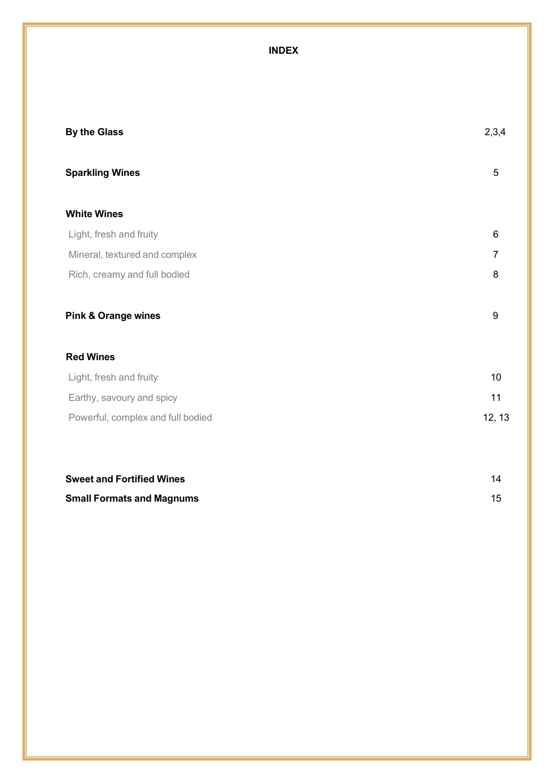### **INDEX**

| <b>By the Glass</b>               | 2,3,4            |
|-----------------------------------|------------------|
| <b>Sparkling Wines</b>            | 5                |
| <b>White Wines</b>                |                  |
| Light, fresh and fruity           | 6                |
| Mineral, textured and complex     | 7                |
| Rich, creamy and full bodied      | 8                |
| <b>Pink &amp; Orange wines</b>    | $\boldsymbol{9}$ |
| <b>Red Wines</b>                  |                  |
| Light, fresh and fruity           | 10               |
| Earthy, savoury and spicy         | 11               |
| Powerful, complex and full bodied | 12, 13           |
|                                   |                  |

| <b>Sweet and Fortified Wines</b> |  |
|----------------------------------|--|
| <b>Small Formats and Magnums</b> |  |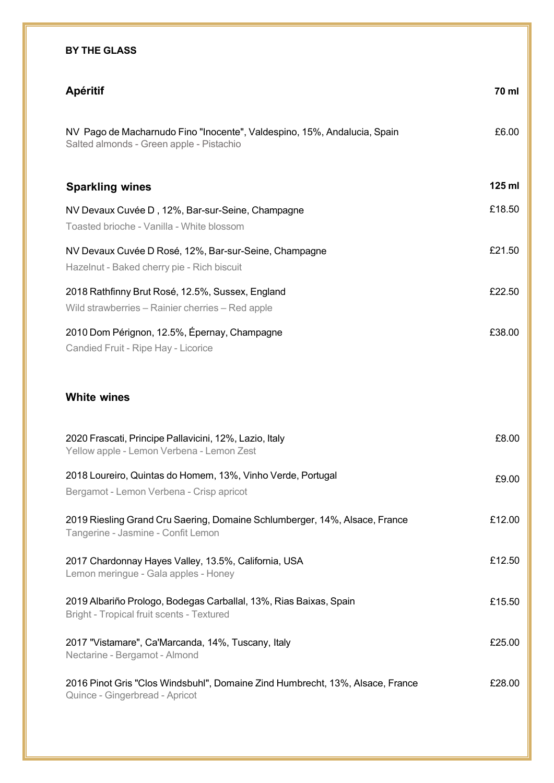# **BY THE GLASS Apéritif 70 ml White wines** £6.00 **125 ml** £18.50 £21.50 £22.50 £38.00 £8.00 £9.00 £12.00 £12.50 £15.50 NV Pago de Macharnudo Fino "Inocente", Valdespino, 15%, Andalucia, Spain Salted almonds - Green apple - Pistachio **Sparkling wines** NV Devaux Cuvée D , 12%, Bar-sur-Seine, Champagne Toasted brioche - Vanilla - White blossom NV Devaux Cuvée D Rosé, 12%, Bar-sur-Seine, Champagne Hazelnut - Baked cherry pie - Rich biscuit 2018 Rathfinny Brut Rosé, 12.5%, Sussex, England Wild strawberries – Rainier cherries – Red apple 2010 Dom Pérignon, 12.5%, Épernay, Champagne Candied Fruit - Ripe Hay - Licorice 2020 Frascati, Principe Pallavicini, 12%, Lazio, Italy Yellow apple - Lemon Verbena - Lemon Zest 2018 Loureiro, Quintas do Homem, 13%, Vinho Verde, Portugal Bergamot - Lemon Verbena - Crisp apricot 2019 Riesling Grand Cru Saering, Domaine Schlumberger, 14%, Alsace, France Tangerine - Jasmine - Confit Lemon 2017 Chardonnay Hayes Valley, 13.5%, California, USA Lemon meringue - Gala apples - Honey

2019 Albariño Prologo, Bodegas Carballal, 13%, Rias Baixas, Spain Bright - Tropical fruit scents - Textured

2017 "Vistamare", Ca'Marcanda, 14%, Tuscany, Italy Nectarine - Bergamot - Almond

| 2016 Pinot Gris "Clos Windsbuhl", Domaine Zind Humbrecht, 13%, Alsace, France | £28.00 |
|-------------------------------------------------------------------------------|--------|
| Quince - Gingerbread - Apricot                                                |        |

£25.00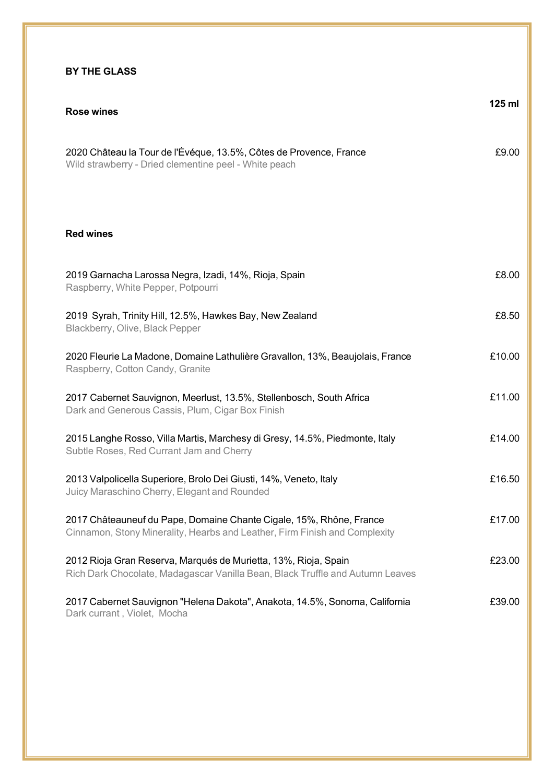#### **BY THE GLASS**

| Rose wines                                                                                                                                        | $125$ ml |
|---------------------------------------------------------------------------------------------------------------------------------------------------|----------|
| 2020 Château la Tour de l'Évéque, 13.5%, Côtes de Provence, France<br>Wild strawberry - Dried clementine peel - White peach                       | £9.00    |
| <b>Red wines</b>                                                                                                                                  |          |
| 2019 Garnacha Larossa Negra, Izadi, 14%, Rioja, Spain<br>Raspberry, White Pepper, Potpourri                                                       | £8.00    |
| 2019 Syrah, Trinity Hill, 12.5%, Hawkes Bay, New Zealand<br>Blackberry, Olive, Black Pepper                                                       | £8.50    |
| 2020 Fleurie La Madone, Domaine Lathulière Gravallon, 13%, Beaujolais, France<br>Raspberry, Cotton Candy, Granite                                 | £10.00   |
| 2017 Cabernet Sauvignon, Meerlust, 13.5%, Stellenbosch, South Africa<br>Dark and Generous Cassis, Plum, Cigar Box Finish                          | £11.00   |
| 2015 Langhe Rosso, Villa Martis, Marchesy di Gresy, 14.5%, Piedmonte, Italy<br>Subtle Roses, Red Currant Jam and Cherry                           | £14.00   |
| 2013 Valpolicella Superiore, Brolo Dei Giusti, 14%, Veneto, Italy<br>Juicy Maraschino Cherry, Elegant and Rounded                                 | £16.50   |
| 2017 Châteauneuf du Pape, Domaine Chante Cigale, 15%, Rhône, France<br>Cinnamon, Stony Minerality, Hearbs and Leather, Firm Finish and Complexity | £17.00   |
| 2012 Rioja Gran Reserva, Marqués de Murietta, 13%, Rioja, Spain<br>Rich Dark Chocolate, Madagascar Vanilla Bean, Black Truffle and Autumn Leaves  | £23.00   |
| 2017 Cabernet Sauvignon "Helena Dakota", Anakota, 14.5%, Sonoma, California<br>Dark currant, Violet, Mocha                                        | £39.00   |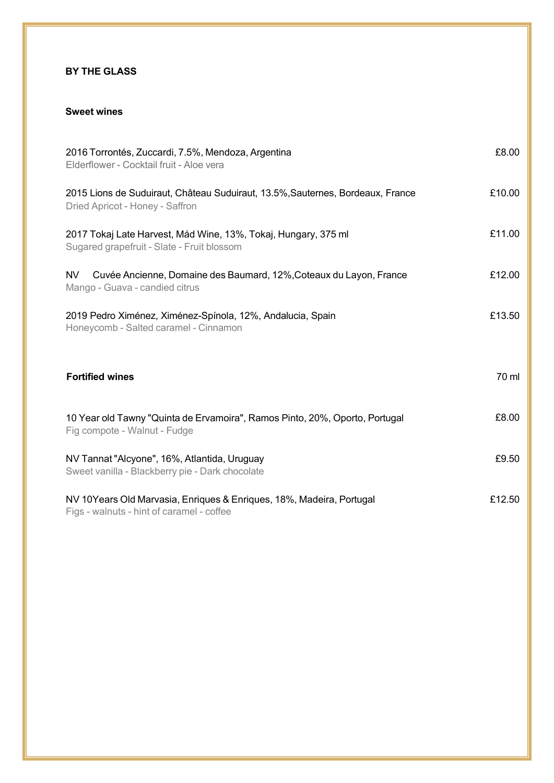#### **BY THE GLASS**

#### **Sweet wines**

| 2016 Torrontés, Zuccardi, 7.5%, Mendoza, Argentina<br>Elderflower - Cocktail fruit - Aloe vera                    | £8.00  |
|-------------------------------------------------------------------------------------------------------------------|--------|
| 2015 Lions de Suduiraut, Château Suduiraut, 13.5%, Sauternes, Bordeaux, France<br>Dried Apricot - Honey - Saffron | £10.00 |
| 2017 Tokaj Late Harvest, Mád Wine, 13%, Tokaj, Hungary, 375 ml<br>Sugared grapefruit - Slate - Fruit blossom      | £11.00 |
| Cuvée Ancienne, Domaine des Baumard, 12%, Coteaux du Layon, France<br>NV.<br>Mango - Guava - candied citrus       | £12.00 |
| 2019 Pedro Ximénez, Ximénez-Spínola, 12%, Andalucia, Spain<br>Honeycomb - Salted caramel - Cinnamon               | £13.50 |
| <b>Fortified wines</b>                                                                                            | 70 ml  |
| 10 Year old Tawny "Quinta de Ervamoira", Ramos Pinto, 20%, Oporto, Portugal<br>Fig compote - Walnut - Fudge       | £8.00  |
| NV Tannat "Alcyone", 16%, Atlantida, Uruguay<br>Sweet vanilla - Blackberry pie - Dark chocolate                   | £9.50  |
| NV 10Years Old Marvasia, Enriques & Enriques, 18%, Madeira, Portugal<br>Figs - walnuts - hint of caramel - coffee | £12.50 |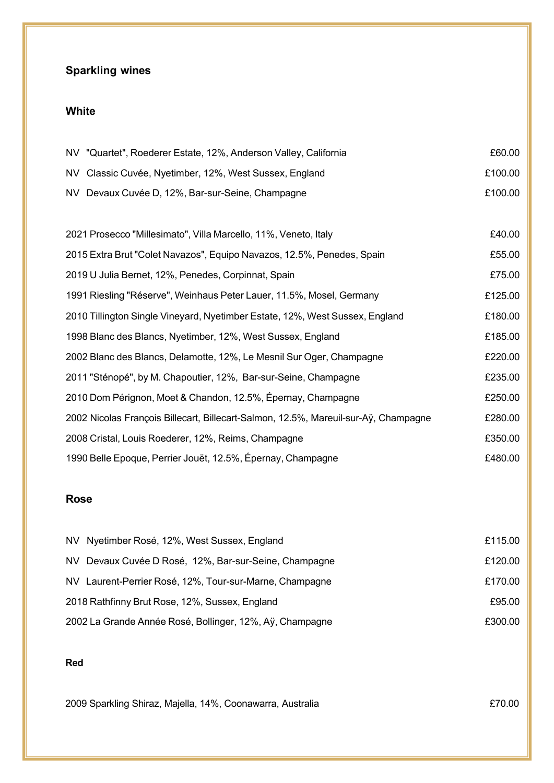## **Sparkling wines**

### **White**

| NV "Quartet", Roederer Estate, 12%, Anderson Valley, California                     | £60.00  |
|-------------------------------------------------------------------------------------|---------|
| NV Classic Cuvée, Nyetimber, 12%, West Sussex, England                              | £100.00 |
| NV Devaux Cuvée D, 12%, Bar-sur-Seine, Champagne                                    | £100.00 |
|                                                                                     |         |
| 2021 Prosecco "Millesimato", Villa Marcello, 11%, Veneto, Italy                     | £40.00  |
| 2015 Extra Brut "Colet Navazos", Equipo Navazos, 12.5%, Penedes, Spain              | £55.00  |
| 2019 U Julia Bernet, 12%, Penedes, Corpinnat, Spain                                 | £75.00  |
| 1991 Riesling "Réserve", Weinhaus Peter Lauer, 11.5%, Mosel, Germany                | £125.00 |
| 2010 Tillington Single Vineyard, Nyetimber Estate, 12%, West Sussex, England        | £180.00 |
| 1998 Blanc des Blancs, Nyetimber, 12%, West Sussex, England                         | £185.00 |
| 2002 Blanc des Blancs, Delamotte, 12%, Le Mesnil Sur Oger, Champagne                | £220.00 |
| 2011 "Sténopé", by M. Chapoutier, 12%, Bar-sur-Seine, Champagne                     | £235.00 |
| 2010 Dom Pérignon, Moet & Chandon, 12.5%, Épernay, Champagne                        | £250.00 |
| 2002 Nicolas François Billecart, Billecart-Salmon, 12.5%, Mareuil-sur-Aÿ, Champagne | £280.00 |

| 2008 Cristal, Louis Roederer, 12%, Reims, Champagne         | £350.00 |
|-------------------------------------------------------------|---------|
| 1990 Belle Epoque, Perrier Jouët, 12.5%, Épernay, Champagne | £480.00 |

#### **Rose**

| NV Nyetimber Rosé, 12%, West Sussex, England             | £115.00 |
|----------------------------------------------------------|---------|
| NV Devaux Cuvée D Rosé, 12%, Bar-sur-Seine, Champagne    | £120.00 |
| NV Laurent-Perrier Rosé, 12%, Tour-sur-Marne, Champagne  | £170.00 |
| 2018 Rathfinny Brut Rose, 12%, Sussex, England           | £95.00  |
| 2002 La Grande Année Rosé, Bollinger, 12%, Aÿ, Champagne | £300.00 |

#### **Red**

2009 Sparkling Shiraz, Majella, 14%, Coonawarra, Australia £70.00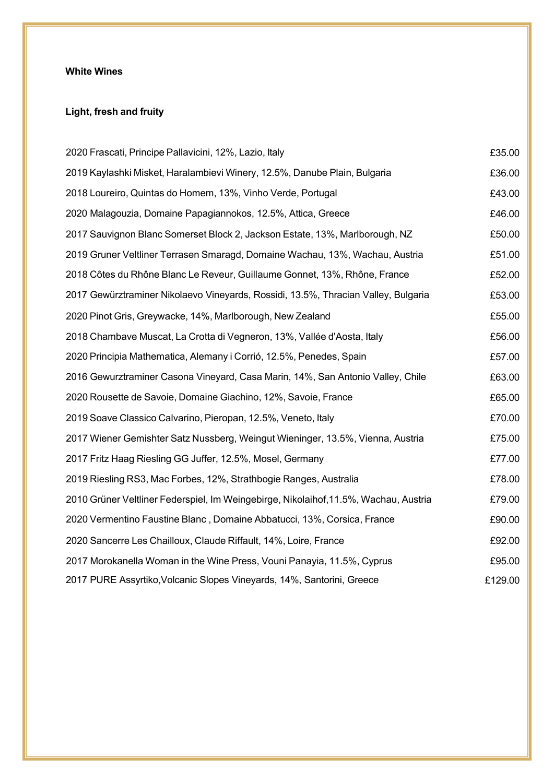#### **White Wines**

### **Light, fresh and fruity**

| 2020 Frascati, Principe Pallavicini, 12%, Lazio, Italy                               | £35.00  |
|--------------------------------------------------------------------------------------|---------|
| 2019 Kaylashki Misket, Haralambievi Winery, 12.5%, Danube Plain, Bulgaria            | £36.00  |
| 2018 Loureiro, Quintas do Homem, 13%, Vinho Verde, Portugal                          | £43.00  |
| 2020 Malagouzia, Domaine Papagiannokos, 12.5%, Attica, Greece                        | £46.00  |
| 2017 Sauvignon Blanc Somerset Block 2, Jackson Estate, 13%, Marlborough, NZ          | £50.00  |
| 2019 Gruner Veltliner Terrasen Smaragd, Domaine Wachau, 13%, Wachau, Austria         | £51.00  |
| 2018 Côtes du Rhône Blanc Le Reveur, Guillaume Gonnet, 13%, Rhône, France            | £52.00  |
| 2017 Gewürztraminer Nikolaevo Vineyards, Rossidi, 13.5%, Thracian Valley, Bulgaria   | £53.00  |
| 2020 Pinot Gris, Greywacke, 14%, Marlborough, New Zealand                            | £55.00  |
| 2018 Chambave Muscat, La Crotta di Vegneron, 13%, Vallée d'Aosta, Italy              | £56.00  |
| 2020 Principia Mathematica, Alemany i Corrió, 12.5%, Penedes, Spain                  | £57.00  |
| 2016 Gewurztraminer Casona Vineyard, Casa Marin, 14%, San Antonio Valley, Chile      | £63.00  |
| 2020 Rousette de Savoie, Domaine Giachino, 12%, Savoie, France                       | £65.00  |
| 2019 Soave Classico Calvarino, Pieropan, 12.5%, Veneto, Italy                        | £70.00  |
| 2017 Wiener Gemishter Satz Nussberg, Weingut Wieninger, 13.5%, Vienna, Austria       | £75.00  |
| 2017 Fritz Haag Riesling GG Juffer, 12.5%, Mosel, Germany                            | £77.00  |
| 2019 Riesling RS3, Mac Forbes, 12%, Strathbogie Ranges, Australia                    | £78.00  |
| 2010 Grüner Veltliner Federspiel, Im Weingebirge, Nikolaihof, 11.5%, Wachau, Austria | £79.00  |
| 2020 Vermentino Faustine Blanc, Domaine Abbatucci, 13%, Corsica, France              | £90.00  |
| 2020 Sancerre Les Chailloux, Claude Riffault, 14%, Loire, France                     | £92.00  |
| 2017 Morokanella Woman in the Wine Press, Vouni Panayia, 11.5%, Cyprus               | £95.00  |
| 2017 PURE Assyrtiko, Volcanic Slopes Vineyards, 14%, Santorini, Greece               | £129.00 |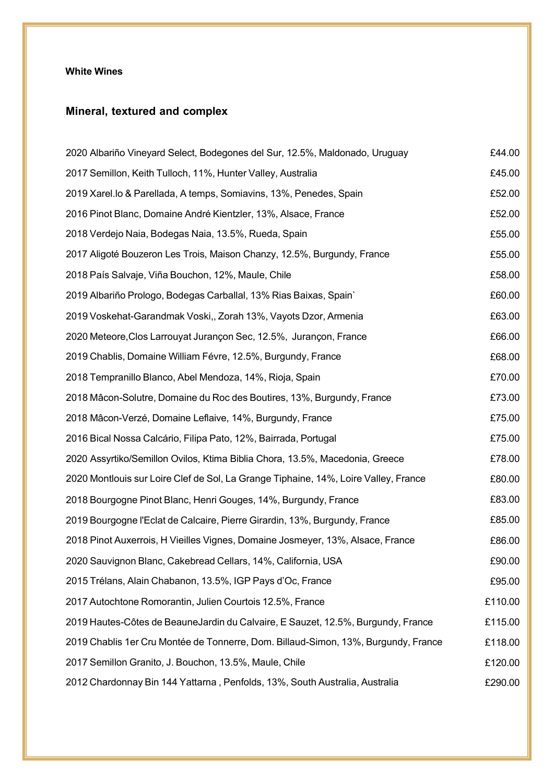#### **White Wines**

## **Mineral, textured and complex**

| 2020 Albariño Vineyard Select, Bodegones del Sur, 12.5%, Maldonado, Uruguay         | £44.00  |
|-------------------------------------------------------------------------------------|---------|
| 2017 Semillon, Keith Tulloch, 11%, Hunter Valley, Australia                         | £45.00  |
| 2019 Xarel.lo & Parellada, A temps, Somiavins, 13%, Penedes, Spain                  | £52.00  |
| 2016 Pinot Blanc, Domaine André Kientzler, 13%, Alsace, France                      | £52.00  |
| 2018 Verdejo Naia, Bodegas Naia, 13.5%, Rueda, Spain                                | £55.00  |
| 2017 Aligoté Bouzeron Les Trois, Maison Chanzy, 12.5%, Burgundy, France             | £55.00  |
| 2018 País Salvaje, Viña Bouchon, 12%, Maule, Chile                                  | £58.00  |
| 2019 Albariño Prologo, Bodegas Carballal, 13% Rias Baixas, Spain`                   | £60.00  |
| 2019 Voskehat-Garandmak Voski,, Zorah 13%, Vayots Dzor, Armenia                     | £63.00  |
| 2020 Meteore, Clos Larrouyat Jurançon Sec, 12.5%, Jurançon, France                  | £66.00  |
| 2019 Chablis, Domaine William Févre, 12.5%, Burgundy, France                        | £68.00  |
| 2018 Tempranillo Blanco, Abel Mendoza, 14%, Rioja, Spain                            | £70.00  |
| 2018 Mâcon-Solutre, Domaine du Roc des Boutires, 13%, Burgundy, France              | £73.00  |
| 2018 Mâcon-Verzé, Domaine Leflaive, 14%, Burgundy, France                           | £75.00  |
| 2016 Bical Nossa Calcário, Filipa Pato, 12%, Bairrada, Portugal                     | £75.00  |
| 2020 Assyrtiko/Semillon Ovilos, Ktima Biblia Chora, 13.5%, Macedonia, Greece        | £78.00  |
| 2020 Montlouis sur Loire Clef de Sol, La Grange Tiphaine, 14%, Loire Valley, France | £80.00  |
| 2018 Bourgogne Pinot Blanc, Henri Gouges, 14%, Burgundy, France                     | £83.00  |
| 2019 Bourgogne l'Eclat de Calcaire, Pierre Girardin, 13%, Burgundy, France          | £85.00  |
| 2018 Pinot Auxerrois, H Vieilles Vignes, Domaine Josmeyer, 13%, Alsace, France      | £86.00  |
| 2020 Sauvignon Blanc, Cakebread Cellars, 14%, California, USA                       | £90.00  |
| 2015 Trélans, Alain Chabanon, 13.5%, IGP Pays d'Oc, France                          | £95.00  |
| 2017 Autochtone Romorantin, Julien Courtois 12.5%, France                           | £110.00 |
| 2019 Hautes-Côtes de BeauneJardin du Calvaire, E Sauzet, 12.5%, Burgundy, France    | £115.00 |
| 2019 Chablis 1er Cru Montée de Tonnerre, Dom. Billaud-Simon, 13%, Burgundy, France  | £118.00 |
| 2017 Semillon Granito, J. Bouchon, 13.5%, Maule, Chile                              | £120.00 |
| 2012 Chardonnay Bin 144 Yattarna, Penfolds, 13%, South Australia, Australia         | £290.00 |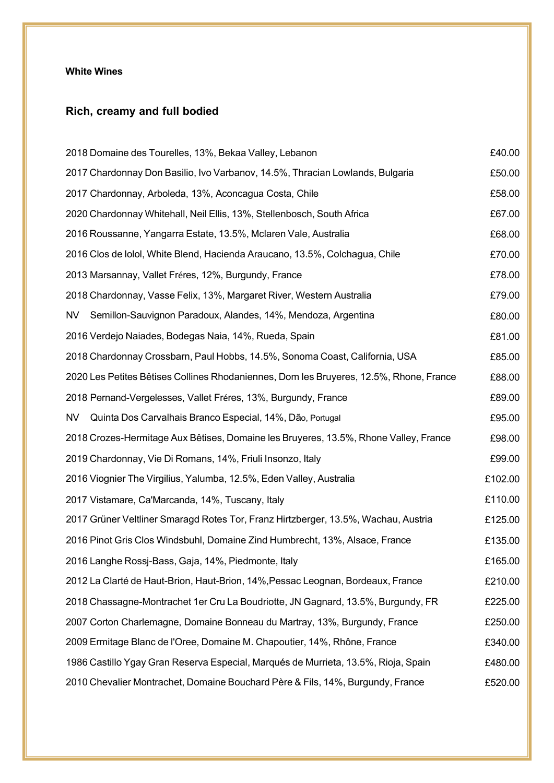#### **White Wines**

# **Rich, creamy and full bodied**

| 2018 Domaine des Tourelles, 13%, Bekaa Valley, Lebanon                                 | £40.00  |
|----------------------------------------------------------------------------------------|---------|
| 2017 Chardonnay Don Basilio, Ivo Varbanov, 14.5%, Thracian Lowlands, Bulgaria          | £50.00  |
| 2017 Chardonnay, Arboleda, 13%, Aconcagua Costa, Chile                                 | £58.00  |
| 2020 Chardonnay Whitehall, Neil Ellis, 13%, Stellenbosch, South Africa                 | £67.00  |
| 2016 Roussanne, Yangarra Estate, 13.5%, Mclaren Vale, Australia                        | £68.00  |
| 2016 Clos de Iolol, White Blend, Hacienda Araucano, 13.5%, Colchagua, Chile            | £70.00  |
| 2013 Marsannay, Vallet Fréres, 12%, Burgundy, France                                   | £78.00  |
| 2018 Chardonnay, Vasse Felix, 13%, Margaret River, Western Australia                   | £79.00  |
| Semillon-Sauvignon Paradoux, Alandes, 14%, Mendoza, Argentina<br>NV.                   | £80.00  |
| 2016 Verdejo Naiades, Bodegas Naia, 14%, Rueda, Spain                                  | £81.00  |
| 2018 Chardonnay Crossbarn, Paul Hobbs, 14.5%, Sonoma Coast, California, USA            | £85.00  |
| 2020 Les Petites Bêtises Collines Rhodaniennes, Dom les Bruyeres, 12.5%, Rhone, France | £88.00  |
| 2018 Pernand-Vergelesses, Vallet Fréres, 13%, Burgundy, France                         | £89.00  |
| Quinta Dos Carvalhais Branco Especial, 14%, Dão, Portugal<br>NV.                       | £95.00  |
| 2018 Crozes-Hermitage Aux Bêtises, Domaine les Bruyeres, 13.5%, Rhone Valley, France   | £98.00  |
| 2019 Chardonnay, Vie Di Romans, 14%, Friuli Insonzo, Italy                             | £99.00  |
| 2016 Viognier The Virgilius, Yalumba, 12.5%, Eden Valley, Australia                    | £102.00 |
| 2017 Vistamare, Ca'Marcanda, 14%, Tuscany, Italy                                       | £110.00 |
| 2017 Grüner Veltliner Smaragd Rotes Tor, Franz Hirtzberger, 13.5%, Wachau, Austria     | £125.00 |
| 2016 Pinot Gris Clos Windsbuhl, Domaine Zind Humbrecht, 13%, Alsace, France            | £135.00 |
| 2016 Langhe Rossj-Bass, Gaja, 14%, Piedmonte, Italy                                    | £165.00 |
| 2012 La Clarté de Haut-Brion, Haut-Brion, 14%, Pessac Leognan, Bordeaux, France        | £210.00 |
| 2018 Chassagne-Montrachet 1er Cru La Boudriotte, JN Gagnard, 13.5%, Burgundy, FR       | £225.00 |
| 2007 Corton Charlemagne, Domaine Bonneau du Martray, 13%, Burgundy, France             | £250.00 |
| 2009 Ermitage Blanc de l'Oree, Domaine M. Chapoutier, 14%, Rhône, France               | £340.00 |
| 1986 Castillo Ygay Gran Reserva Especial, Marqués de Murrieta, 13.5%, Rioja, Spain     | £480.00 |
| 2010 Chevalier Montrachet, Domaine Bouchard Père & Fils, 14%, Burgundy, France         | £520.00 |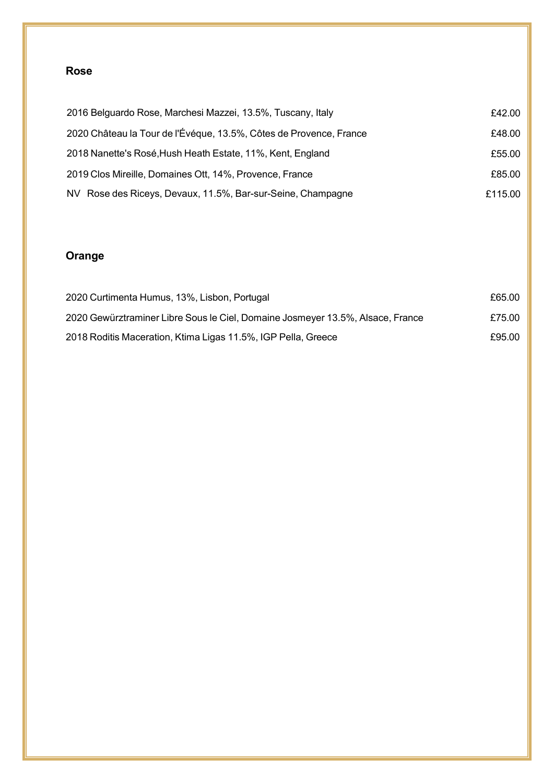### **Rose**

| 2016 Belguardo Rose, Marchesi Mazzei, 13.5%, Tuscany, Italy        | £42.00  |
|--------------------------------------------------------------------|---------|
| 2020 Château la Tour de l'Évéque, 13.5%, Côtes de Provence, France | £48.00  |
| 2018 Nanette's Rosé, Hush Heath Estate, 11%, Kent, England         | £55.00  |
| 2019 Clos Mireille, Domaines Ott, 14%, Provence, France            | £85.00  |
| NV Rose des Riceys, Devaux, 11.5%, Bar-sur-Seine, Champagne        | £115.00 |

## **Orange**

| 2020 Curtimenta Humus, 13%, Lisbon, Portugal                                   | £65.00 |
|--------------------------------------------------------------------------------|--------|
| 2020 Gewürztraminer Libre Sous le Ciel, Domaine Josmeyer 13.5%, Alsace, France | £75.00 |
| 2018 Roditis Maceration, Ktima Ligas 11.5%, IGP Pella, Greece                  | £95.00 |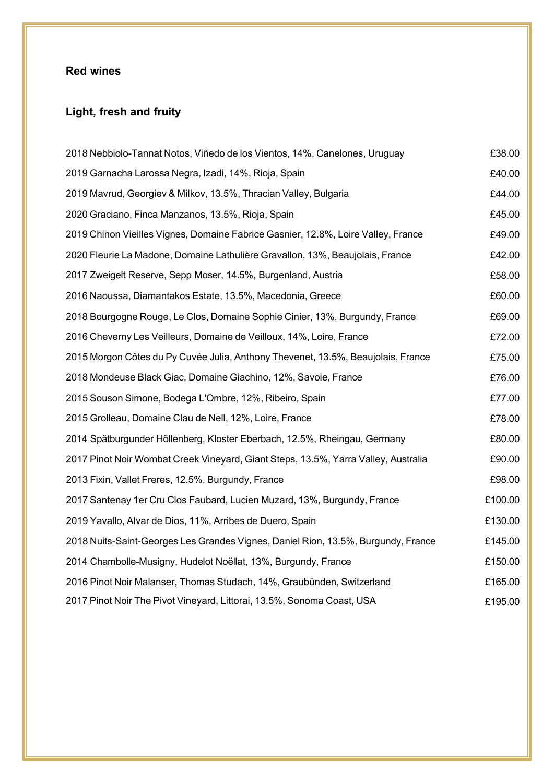# **Light, fresh and fruity**

| 2018 Nebbiolo-Tannat Notos, Viñedo de los Vientos, 14%, Canelones, Uruguay         | £38.00  |
|------------------------------------------------------------------------------------|---------|
| 2019 Garnacha Larossa Negra, Izadi, 14%, Rioja, Spain                              | £40.00  |
| 2019 Mavrud, Georgiev & Milkov, 13.5%, Thracian Valley, Bulgaria                   | £44.00  |
| 2020 Graciano, Finca Manzanos, 13.5%, Rioja, Spain                                 | £45.00  |
| 2019 Chinon Vieilles Vignes, Domaine Fabrice Gasnier, 12.8%, Loire Valley, France  | £49.00  |
| 2020 Fleurie La Madone, Domaine Lathulière Gravallon, 13%, Beaujolais, France      | £42.00  |
| 2017 Zweigelt Reserve, Sepp Moser, 14.5%, Burgenland, Austria                      | £58.00  |
| 2016 Naoussa, Diamantakos Estate, 13.5%, Macedonia, Greece                         | £60.00  |
| 2018 Bourgogne Rouge, Le Clos, Domaine Sophie Cinier, 13%, Burgundy, France        | £69.00  |
| 2016 Cheverny Les Veilleurs, Domaine de Veilloux, 14%, Loire, France               | £72.00  |
| 2015 Morgon Côtes du Py Cuvée Julia, Anthony Thevenet, 13.5%, Beaujolais, France   | £75.00  |
| 2018 Mondeuse Black Giac, Domaine Giachino, 12%, Savoie, France                    | £76.00  |
| 2015 Souson Simone, Bodega L'Ombre, 12%, Ribeiro, Spain                            | £77.00  |
| 2015 Grolleau, Domaine Clau de Nell, 12%, Loire, France                            | £78.00  |
| 2014 Spätburgunder Höllenberg, Kloster Eberbach, 12.5%, Rheingau, Germany          | £80.00  |
| 2017 Pinot Noir Wombat Creek Vineyard, Giant Steps, 13.5%, Yarra Valley, Australia | £90.00  |
| 2013 Fixin, Vallet Freres, 12.5%, Burgundy, France                                 | £98.00  |
| 2017 Santenay 1er Cru Clos Faubard, Lucien Muzard, 13%, Burgundy, France           | £100.00 |
| 2019 Yavallo, Alvar de Dios, 11%, Arribes de Duero, Spain                          | £130.00 |
| 2018 Nuits-Saint-Georges Les Grandes Vignes, Daniel Rion, 13.5%, Burgundy, France  | £145.00 |
| 2014 Chambolle-Musigny, Hudelot Noëllat, 13%, Burgundy, France                     | £150.00 |
| 2016 Pinot Noir Malanser, Thomas Studach, 14%, Graubünden, Switzerland             | £165.00 |
| 2017 Pinot Noir The Pivot Vineyard, Littorai, 13.5%, Sonoma Coast, USA             | £195.00 |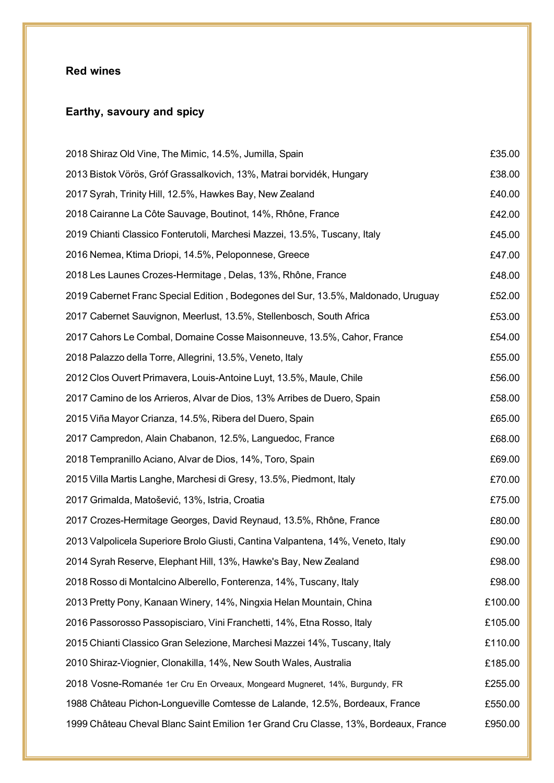# **Earthy, savoury and spicy**

| 2018 Shiraz Old Vine, The Mimic, 14.5%, Jumilla, Spain                              | £35.00  |
|-------------------------------------------------------------------------------------|---------|
| 2013 Bistok Vörös, Gróf Grassalkovich, 13%, Matrai borvidék, Hungary                | £38.00  |
| 2017 Syrah, Trinity Hill, 12.5%, Hawkes Bay, New Zealand                            | £40.00  |
| 2018 Cairanne La Côte Sauvage, Boutinot, 14%, Rhône, France                         | £42.00  |
| 2019 Chianti Classico Fonterutoli, Marchesi Mazzei, 13.5%, Tuscany, Italy           | £45.00  |
| 2016 Nemea, Ktima Driopi, 14.5%, Peloponnese, Greece                                | £47.00  |
| 2018 Les Launes Crozes-Hermitage, Delas, 13%, Rhône, France                         | £48.00  |
| 2019 Cabernet Franc Special Edition, Bodegones del Sur, 13.5%, Maldonado, Uruguay   | £52.00  |
| 2017 Cabernet Sauvignon, Meerlust, 13.5%, Stellenbosch, South Africa                | £53.00  |
| 2017 Cahors Le Combal, Domaine Cosse Maisonneuve, 13.5%, Cahor, France              | £54.00  |
| 2018 Palazzo della Torre, Allegrini, 13.5%, Veneto, Italy                           | £55.00  |
| 2012 Clos Ouvert Primavera, Louis-Antoine Luyt, 13.5%, Maule, Chile                 | £56.00  |
| 2017 Camino de los Arrieros, Alvar de Dios, 13% Arribes de Duero, Spain             | £58.00  |
| 2015 Viña Mayor Crianza, 14.5%, Ribera del Duero, Spain                             | £65.00  |
| 2017 Campredon, Alain Chabanon, 12.5%, Languedoc, France                            | £68.00  |
| 2018 Tempranillo Aciano, Alvar de Dios, 14%, Toro, Spain                            | £69.00  |
| 2015 Villa Martis Langhe, Marchesi di Gresy, 13.5%, Piedmont, Italy                 | £70.00  |
| 2017 Grimalda, Matošević, 13%, Istria, Croatia                                      | £75.00  |
| 2017 Crozes-Hermitage Georges, David Reynaud, 13.5%, Rhône, France                  | £80.00  |
| 2013 Valpolicela Superiore Brolo Giusti, Cantina Valpantena, 14%, Veneto, Italy     | £90.00  |
| 2014 Syrah Reserve, Elephant Hill, 13%, Hawke's Bay, New Zealand                    | £98.00  |
| 2018 Rosso di Montalcino Alberello, Fonterenza, 14%, Tuscany, Italy                 | £98.00  |
| 2013 Pretty Pony, Kanaan Winery, 14%, Ningxia Helan Mountain, China                 | £100.00 |
| 2016 Passorosso Passopisciaro, Vini Franchetti, 14%, Etna Rosso, Italy              | £105.00 |
| 2015 Chianti Classico Gran Selezione, Marchesi Mazzei 14%, Tuscany, Italy           | £110.00 |
| 2010 Shiraz-Viognier, Clonakilla, 14%, New South Wales, Australia                   | £185.00 |
| 2018 Vosne-Romanée 1er Cru En Orveaux, Mongeard Mugneret, 14%, Burgundy, FR         | £255.00 |
| 1988 Château Pichon-Longueville Comtesse de Lalande, 12.5%, Bordeaux, France        | £550.00 |
| 1999 Château Cheval Blanc Saint Emilion 1er Grand Cru Classe, 13%, Bordeaux, France | £950.00 |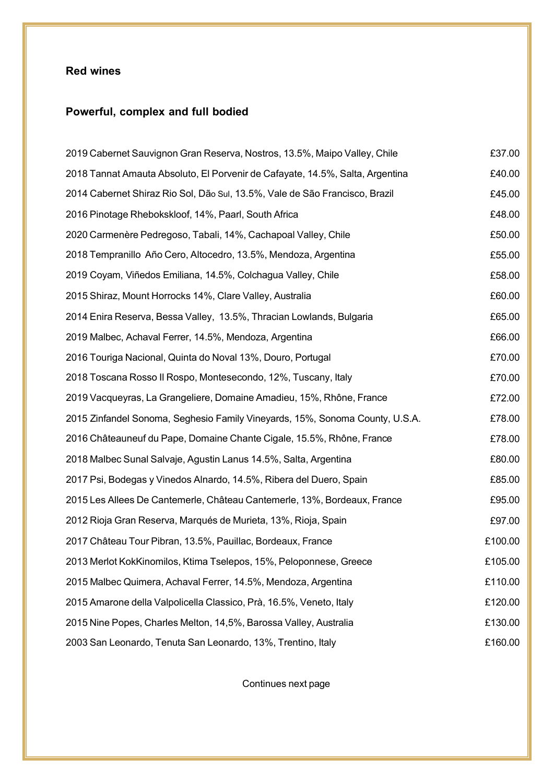## **Powerful, complex and full bodied**

| 2019 Cabernet Sauvignon Gran Reserva, Nostros, 13.5%, Maipo Valley, Chile     | £37.00  |
|-------------------------------------------------------------------------------|---------|
| 2018 Tannat Amauta Absoluto, El Porvenir de Cafayate, 14.5%, Salta, Argentina | £40.00  |
| 2014 Cabernet Shiraz Rio Sol, Dão Sul, 13.5%, Vale de São Francisco, Brazil   | £45.00  |
| 2016 Pinotage Rhebokskloof, 14%, Paarl, South Africa                          | £48.00  |
| 2020 Carmenère Pedregoso, Tabali, 14%, Cachapoal Valley, Chile                | £50.00  |
| 2018 Tempranillo Año Cero, Altocedro, 13.5%, Mendoza, Argentina               | £55.00  |
| 2019 Coyam, Viñedos Emiliana, 14.5%, Colchagua Valley, Chile                  | £58.00  |
| 2015 Shiraz, Mount Horrocks 14%, Clare Valley, Australia                      | £60.00  |
| 2014 Enira Reserva, Bessa Valley, 13.5%, Thracian Lowlands, Bulgaria          | £65.00  |
| 2019 Malbec, Achaval Ferrer, 14.5%, Mendoza, Argentina                        | £66.00  |
| 2016 Touriga Nacional, Quinta do Noval 13%, Douro, Portugal                   | £70.00  |
| 2018 Toscana Rosso II Rospo, Montesecondo, 12%, Tuscany, Italy                | £70.00  |
| 2019 Vacqueyras, La Grangeliere, Domaine Amadieu, 15%, Rhône, France          | £72.00  |
| 2015 Zinfandel Sonoma, Seghesio Family Vineyards, 15%, Sonoma County, U.S.A.  | £78.00  |
| 2016 Châteauneuf du Pape, Domaine Chante Cigale, 15.5%, Rhône, France         | £78.00  |
| 2018 Malbec Sunal Salvaje, Agustin Lanus 14.5%, Salta, Argentina              | £80.00  |
| 2017 Psi, Bodegas y Vinedos Alnardo, 14.5%, Ribera del Duero, Spain           | £85.00  |
| 2015 Les Allees De Cantemerle, Château Cantemerle, 13%, Bordeaux, France      | £95.00  |
| 2012 Rioja Gran Reserva, Marqués de Murieta, 13%, Rioja, Spain                | £97.00  |
| 2017 Château Tour Pibran, 13.5%, Pauillac, Bordeaux, France                   | £100.00 |
| 2013 Merlot KokKinomilos, Ktima Tselepos, 15%, Peloponnese, Greece            | £105.00 |
| 2015 Malbec Quimera, Achaval Ferrer, 14.5%, Mendoza, Argentina                | £110.00 |
| 2015 Amarone della Valpolicella Classico, Prà, 16.5%, Veneto, Italy           | £120.00 |
| 2015 Nine Popes, Charles Melton, 14,5%, Barossa Valley, Australia             | £130.00 |
| 2003 San Leonardo, Tenuta San Leonardo, 13%, Trentino, Italy                  | £160.00 |

Continues next page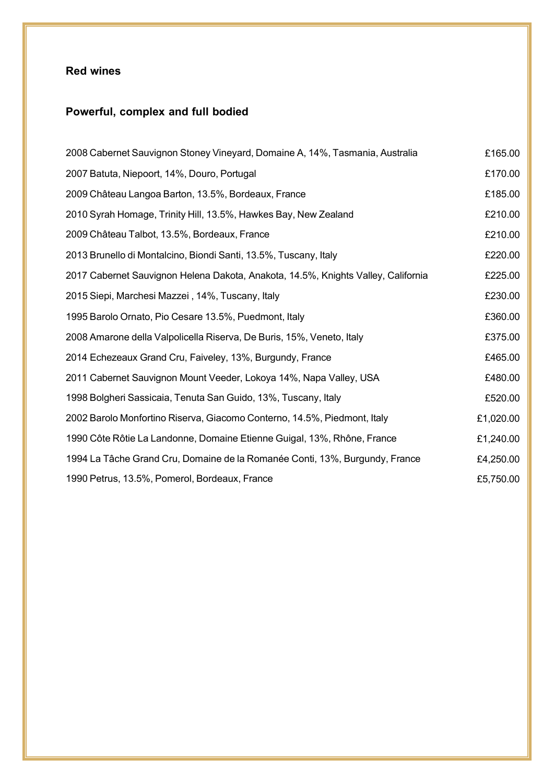## **Powerful, complex and full bodied**

| 2008 Cabernet Sauvignon Stoney Vineyard, Domaine A, 14%, Tasmania, Australia      | £165.00   |
|-----------------------------------------------------------------------------------|-----------|
| 2007 Batuta, Niepoort, 14%, Douro, Portugal                                       | £170.00   |
| 2009 Château Langoa Barton, 13.5%, Bordeaux, France                               | £185.00   |
| 2010 Syrah Homage, Trinity Hill, 13.5%, Hawkes Bay, New Zealand                   | £210.00   |
| 2009 Château Talbot, 13.5%, Bordeaux, France                                      | £210.00   |
| 2013 Brunello di Montalcino, Biondi Santi, 13.5%, Tuscany, Italy                  | £220.00   |
| 2017 Cabernet Sauvignon Helena Dakota, Anakota, 14.5%, Knights Valley, California | £225.00   |
| 2015 Siepi, Marchesi Mazzei, 14%, Tuscany, Italy                                  | £230.00   |
| 1995 Barolo Ornato, Pio Cesare 13.5%, Puedmont, Italy                             | £360.00   |
| 2008 Amarone della Valpolicella Riserva, De Buris, 15%, Veneto, Italy             | £375.00   |
| 2014 Echezeaux Grand Cru, Faiveley, 13%, Burgundy, France                         | £465.00   |
| 2011 Cabernet Sauvignon Mount Veeder, Lokoya 14%, Napa Valley, USA                | £480.00   |
| 1998 Bolgheri Sassicaia, Tenuta San Guido, 13%, Tuscany, Italy                    | £520.00   |
| 2002 Barolo Monfortino Riserva, Giacomo Conterno, 14.5%, Piedmont, Italy          | £1,020.00 |
| 1990 Côte Rôtie La Landonne, Domaine Etienne Guigal, 13%, Rhône, France           | £1,240.00 |
| 1994 La Tâche Grand Cru, Domaine de la Romanée Conti, 13%, Burgundy, France       | £4,250.00 |
| 1990 Petrus, 13.5%, Pomerol, Bordeaux, France                                     | £5,750.00 |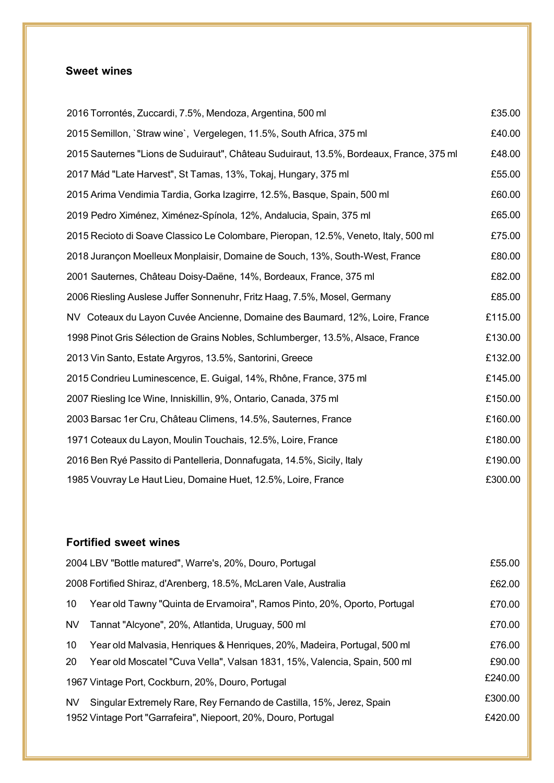### **Sweet wines**

| 2016 Torrontés, Zuccardi, 7.5%, Mendoza, Argentina, 500 ml                              | £35.00  |
|-----------------------------------------------------------------------------------------|---------|
| 2015 Semillon, `Straw wine`, Vergelegen, 11.5%, South Africa, 375 ml                    | £40.00  |
| 2015 Sauternes "Lions de Suduiraut", Château Suduiraut, 13.5%, Bordeaux, France, 375 ml | £48.00  |
| 2017 Mád "Late Harvest", St Tamas, 13%, Tokaj, Hungary, 375 ml                          | £55.00  |
| 2015 Arima Vendimia Tardia, Gorka Izagirre, 12.5%, Basque, Spain, 500 ml                | £60.00  |
| 2019 Pedro Ximénez, Ximénez-Spínola, 12%, Andalucia, Spain, 375 ml                      | £65.00  |
| 2015 Recioto di Soave Classico Le Colombare, Pieropan, 12.5%, Veneto, Italy, 500 ml     | £75.00  |
| 2018 Jurançon Moelleux Monplaisir, Domaine de Souch, 13%, South-West, France            | £80.00  |
| 2001 Sauternes, Château Doisy-Daëne, 14%, Bordeaux, France, 375 ml                      | £82.00  |
| 2006 Riesling Auslese Juffer Sonnenuhr, Fritz Haag, 7.5%, Mosel, Germany                | £85.00  |
| NV Coteaux du Layon Cuvée Ancienne, Domaine des Baumard, 12%, Loire, France             | £115.00 |
| 1998 Pinot Gris Sélection de Grains Nobles, Schlumberger, 13.5%, Alsace, France         | £130.00 |
| 2013 Vin Santo, Estate Argyros, 13.5%, Santorini, Greece                                | £132.00 |
| 2015 Condrieu Luminescence, E. Guigal, 14%, Rhône, France, 375 ml                       | £145.00 |
| 2007 Riesling Ice Wine, Inniskillin, 9%, Ontario, Canada, 375 ml                        | £150.00 |
| 2003 Barsac 1er Cru, Château Climens, 14.5%, Sauternes, France                          | £160.00 |
| 1971 Coteaux du Layon, Moulin Touchais, 12.5%, Loire, France                            | £180.00 |
| 2016 Ben Ryé Passito di Pantelleria, Donnafugata, 14.5%, Sicily, Italy                  | £190.00 |
| 1985 Vouvray Le Haut Lieu, Domaine Huet, 12.5%, Loire, France                           | £300.00 |

### **Fortified sweet wines**

|           | 2004 LBV "Bottle matured", Warre's, 20%, Douro, Portugal                  | £55.00  |
|-----------|---------------------------------------------------------------------------|---------|
|           | 2008 Fortified Shiraz, d'Arenberg, 18.5%, McLaren Vale, Australia         | £62.00  |
| 10        | Year old Tawny "Quinta de Ervamoira", Ramos Pinto, 20%, Oporto, Portugal  | £70.00  |
| <b>NV</b> | Tannat "Alcyone", 20%, Atlantida, Uruguay, 500 ml                         | £70.00  |
| 10        | Year old Malvasia, Henriques & Henriques, 20%, Madeira, Portugal, 500 ml  | £76.00  |
| 20        | Year old Moscatel "Cuva Vella", Valsan 1831, 15%, Valencia, Spain, 500 ml | £90.00  |
|           | 1967 Vintage Port, Cockburn, 20%, Douro, Portugal                         | £240.00 |
| NV.       | Singular Extremely Rare, Rey Fernando de Castilla, 15%, Jerez, Spain      | £300.00 |
|           | 1952 Vintage Port "Garrafeira", Niepoort, 20%, Douro, Portugal            | £420.00 |
|           |                                                                           |         |